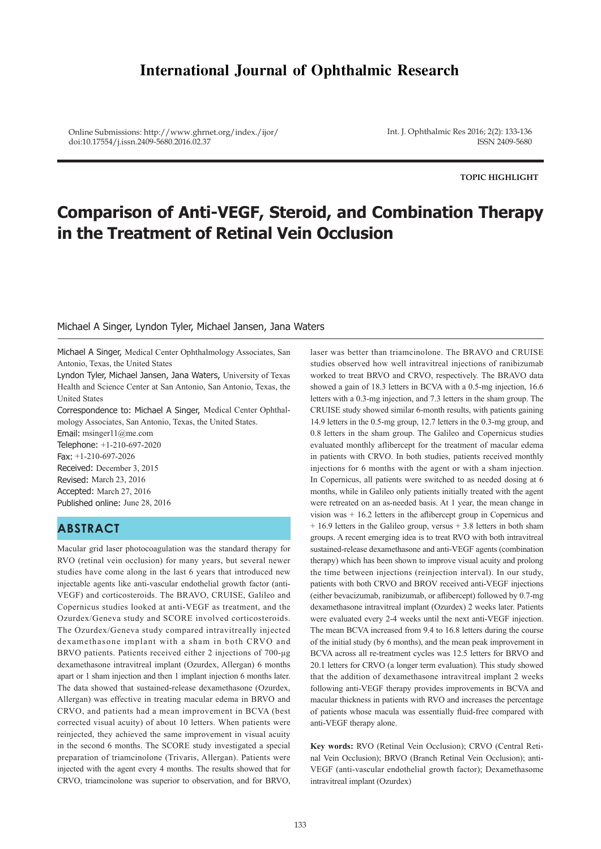# **International Journal of Ophthalmic Research**

Online Submissions: http://www.ghrnet.org/index./ijor/ doi:10.17554/j.issn.2409-5680.2016.02.37

Int. J. Ophthalmic Res 2016; 2(2): 133-136 ISSN 2409-5680

**TOPIC HIGHLIGHT**

# **Comparison of Anti-VEGF, Steroid, and Combination Therapy in the Treatment of Retinal Vein Occlusion**

#### Michael A Singer, Lyndon Tyler, Michael Jansen, Jana Waters

Michael A Singer, Medical Center Ophthalmology Associates, San Antonio, Texas, the United States

Lyndon Tyler, Michael Jansen, Jana Waters, University of Texas Health and Science Center at San Antonio, San Antonio, Texas, the United States

Correspondence to: Michael A Singer, Medical Center Ophthalmology Associates, San Antonio, Texas, the United States.

Email: msinger11@me.com Telephone: +1-210-697-2020 Fax: +1-210-697-2026 Received: December 3, 2015 Revised: March 23, 2016 Accepted: March 27, 2016 Published online: June 28, 2016

# **ABSTRACT**

Macular grid laser photocoagulation was the standard therapy for RVO (retinal vein occlusion) for many years, but several newer studies have come along in the last 6 years that introduced new injectable agents like anti-vascular endothelial growth factor (anti-VEGF) and corticosteroids. The BRAVO, CRUISE, Galileo and Copernicus studies looked at anti-VEGF as treatment, and the Ozurdex/Geneva study and SCORE involved corticosteroids. The Ozurdex/Geneva study compared intravitreally injected dexamethasone implant with a sham in both CRVO and BRVO patients. Patients received either 2 injections of 700-μg dexamethasone intravitreal implant (Ozurdex, Allergan) 6 months apart or 1 sham injection and then 1 implant injection 6 months later. The data showed that sustained-release dexamethasone (Ozurdex, Allergan) was effective in treating macular edema in BRVO and CRVO, and patients had a mean improvement in BCVA (best corrected visual acuity) of about 10 letters. When patients were reinjected, they achieved the same improvement in visual acuity in the second 6 months. The SCORE study investigated a special preparation of triamcinolone (Trivaris, Allergan). Patients were injected with the agent every 4 months. The results showed that for CRVO, triamcinolone was superior to observation, and for BRVO,

laser was better than triamcinolone. The BRAVO and CRUISE studies observed how well intravitreal injections of ranibizumab worked to treat BRVO and CRVO, respectively. The BRAVO data showed a gain of 18.3 letters in BCVA with a 0.5-mg injection, 16.6 letters with a 0.3-mg injection, and 7.3 letters in the sham group. The CRUISE study showed similar 6-month results, with patients gaining 14.9 letters in the 0.5-mg group, 12.7 letters in the 0.3-mg group, and 0.8 letters in the sham group. The Galileo and Copernicus studies evaluated monthly aflibercept for the treatment of macular edema in patients with CRVO. In both studies, patients received monthly injections for 6 months with the agent or with a sham injection. In Copernicus, all patients were switched to as needed dosing at 6 months, while in Galileo only patients initially treated with the agent were retreated on an as-needed basis. At 1 year, the mean change in vision was + 16.2 letters in the aflibercept group in Copernicus and + 16.9 letters in the Galileo group, versus + 3.8 letters in both sham groups. A recent emerging idea is to treat RVO with both intravitreal sustained-release dexamethasone and anti-VEGF agents (combination therapy) which has been shown to improve visual acuity and prolong the time between injections (reinjection interval). In our study, patients with both CRVO and BROV received anti-VEGF injections (either bevacizumab, ranibizumab, or aflibercept) followed by 0.7-mg dexamethasone intravitreal implant (Ozurdex) 2 weeks later. Patients were evaluated every 2-4 weeks until the next anti-VEGF injection. The mean BCVA increased from 9.4 to 16.8 letters during the course of the initial study (by 6 months), and the mean peak improvement in BCVA across all re-treatment cycles was 12.5 letters for BRVO and 20.1 letters for CRVO (a longer term evaluation). This study showed that the addition of dexamethasone intravitreal implant 2 weeks following anti-VEGF therapy provides improvements in BCVA and macular thickness in patients with RVO and increases the percentage of patients whose macula was essentially fluid-free compared with anti-VEGF therapy alone.

**Key words:** RVO (Retinal Vein Occlusion); CRVO (Central Retinal Vein Occlusion); BRVO (Branch Retinal Vein Occlusion); anti-VEGF (anti-vascular endothelial growth factor); Dexamethasome intravitreal implant (Ozurdex)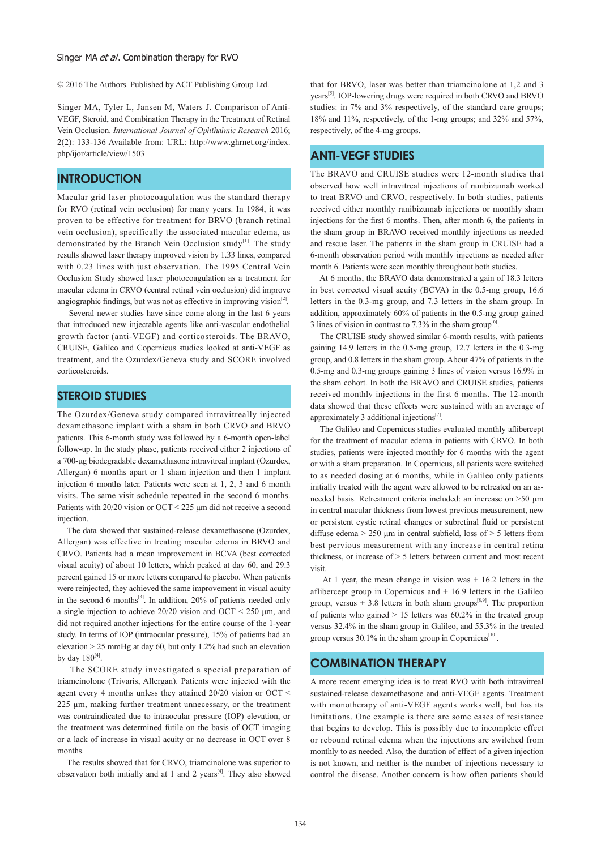#### Singer MA et al. Combination therapy for RVO

© 2016 The Authors. Published by ACT Publishing Group Ltd.

Singer MA, Tyler L, Jansen M, Waters J. Comparison of Anti-VEGF, Steroid, and Combination Therapy in the Treatment of Retinal Vein Occlusion. *International Journal of Ophthalmic Research* 2016; 2(2): 133-136 Available from: URL: http://www.ghrnet.org/index. php/ijor/article/view/1503

#### **INTRODUCTION**

Macular grid laser photocoagulation was the standard therapy for RVO (retinal vein occlusion) for many years. In 1984, it was proven to be effective for treatment for BRVO (branch retinal vein occlusion), specifically the associated macular edema, as demonstrated by the Branch Vein Occlusion study<sup>[1]</sup>. The study results showed laser therapy improved vision by 1.33 lines, compared with 0.23 lines with just observation. The 1995 Central Vein Occlusion Study showed laser photocoagulation as a treatment for macular edema in CRVO (central retinal vein occlusion) did improve angiographic findings, but was not as effective in improving vision $[2]$ .

 Several newer studies have since come along in the last 6 years that introduced new injectable agents like anti-vascular endothelial growth factor (anti-VEGF) and corticosteroids. The BRAVO, CRUISE, Galileo and Copernicus studies looked at anti-VEGF as treatment, and the Ozurdex/Geneva study and SCORE involved corticosteroids.

### **STEROID STUDIES**

The Ozurdex/Geneva study compared intravitreally injected dexamethasone implant with a sham in both CRVO and BRVO patients. This 6-month study was followed by a 6-month open-label follow-up. In the study phase, patients received either 2 injections of a 700-μg biodegradable dexamethasone intravitreal implant (Ozurdex, Allergan) 6 months apart or 1 sham injection and then 1 implant injection 6 months later. Patients were seen at 1, 2, 3 and 6 month visits. The same visit schedule repeated in the second 6 months. Patients with 20/20 vision or OCT < 225 μm did not receive a second injection.

 The data showed that sustained-release dexamethasone (Ozurdex, Allergan) was effective in treating macular edema in BRVO and CRVO. Patients had a mean improvement in BCVA (best corrected visual acuity) of about 10 letters, which peaked at day 60, and 29.3 percent gained 15 or more letters compared to placebo. When patients were reinjected, they achieved the same improvement in visual acuity in the second 6 months $^{[3]}$ . In addition, 20% of patients needed only a single injection to achieve 20/20 vision and OCT < 250 μm, and did not required another injections for the entire course of the 1-year study. In terms of IOP (intraocular pressure), 15% of patients had an elevation > 25 mmHg at day 60, but only 1.2% had such an elevation by day  $180^{[4]}$ .

 The SCORE study investigated a special preparation of triamcinolone (Trivaris, Allergan). Patients were injected with the agent every 4 months unless they attained 20/20 vision or OCT < 225 μm, making further treatment unnecessary, or the treatment was contraindicated due to intraocular pressure (IOP) elevation, or the treatment was determined futile on the basis of OCT imaging or a lack of increase in visual acuity or no decrease in OCT over 8 months.

 The results showed that for CRVO, triamcinolone was superior to observation both initially and at 1 and 2 years<sup>[4]</sup>. They also showed that for BRVO, laser was better than triamcinolone at 1,2 and 3 years[5]. IOP-lowering drugs were required in both CRVO and BRVO studies: in 7% and 3% respectively, of the standard care groups; 18% and 11%, respectively, of the 1-mg groups; and 32% and 57%, respectively, of the 4-mg groups.

## **ANTI-VEGF STUDIES**

The BRAVO and CRUISE studies were 12-month studies that observed how well intravitreal injections of ranibizumab worked to treat BRVO and CRVO, respectively. In both studies, patients received either monthly ranibizumab injections or monthly sham injections for the first 6 months. Then, after month 6, the patients in the sham group in BRAVO received monthly injections as needed and rescue laser. The patients in the sham group in CRUISE had a 6-month observation period with monthly injections as needed after month 6. Patients were seen monthly throughout both studies.

 At 6 months, the BRAVO data demonstrated a gain of 18.3 letters in best corrected visual acuity (BCVA) in the 0.5-mg group, 16.6 letters in the 0.3-mg group, and 7.3 letters in the sham group. In addition, approximately 60% of patients in the 0.5-mg group gained 3 lines of vision in contrast to 7.3% in the sham group<sup>[6]</sup>.

 The CRUISE study showed similar 6-month results, with patients gaining 14.9 letters in the 0.5-mg group, 12.7 letters in the 0.3-mg group, and 0.8 letters in the sham group. About 47% of patients in the 0.5-mg and 0.3-mg groups gaining 3 lines of vision versus 16.9% in the sham cohort. In both the BRAVO and CRUISE studies, patients received monthly injections in the first 6 months. The 12-month data showed that these effects were sustained with an average of approximately 3 additional injections<sup>[7]</sup>.

 The Galileo and Copernicus studies evaluated monthly aflibercept for the treatment of macular edema in patients with CRVO. In both studies, patients were injected monthly for 6 months with the agent or with a sham preparation. In Copernicus, all patients were switched to as needed dosing at 6 months, while in Galileo only patients initially treated with the agent were allowed to be retreated on an asneeded basis. Retreatment criteria included: an increase on >50 μm in central macular thickness from lowest previous measurement, new or persistent cystic retinal changes or subretinal fluid or persistent diffuse edema > 250 μm in central subfield, loss of > 5 letters from best pervious measurement with any increase in central retina thickness, or increase of > 5 letters between current and most recent visit.

 At 1 year, the mean change in vision was + 16.2 letters in the aflibercept group in Copernicus and  $+16.9$  letters in the Galileo group, versus  $+3.8$  letters in both sham groups<sup>[8,9]</sup>. The proportion of patients who gained  $> 15$  letters was 60.2% in the treated group versus 32.4% in the sham group in Galileo, and 55.3% in the treated group versus 30.1% in the sham group in Copernicus<sup>[10]</sup>.

#### **COMBINATION THERAPY**

A more recent emerging idea is to treat RVO with both intravitreal sustained-release dexamethasone and anti-VEGF agents. Treatment with monotherapy of anti-VEGF agents works well, but has its limitations. One example is there are some cases of resistance that begins to develop. This is possibly due to incomplete effect or rebound retinal edema when the injections are switched from monthly to as needed. Also, the duration of effect of a given injection is not known, and neither is the number of injections necessary to control the disease. Another concern is how often patients should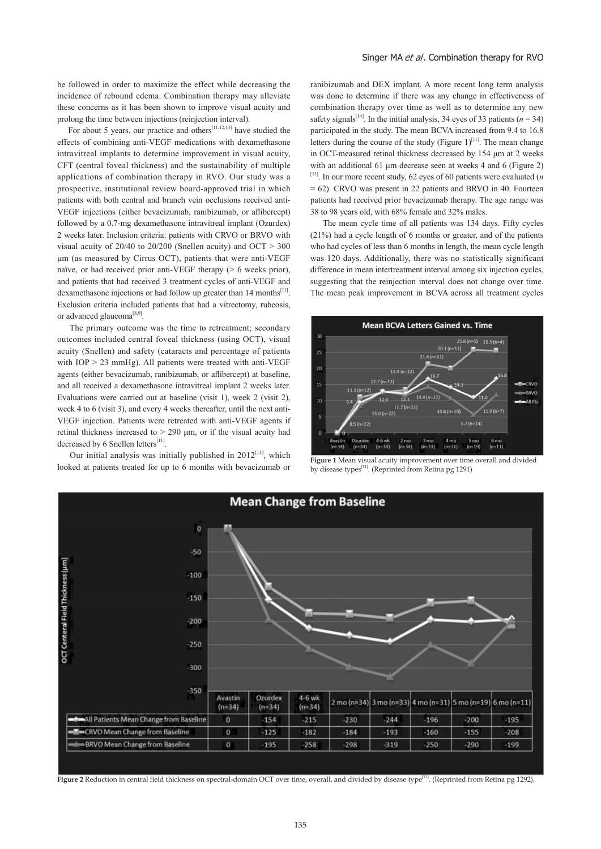be followed in order to maximize the effect while decreasing the incidence of rebound edema. Combination therapy may alleviate these concerns as it has been shown to improve visual acuity and prolong the time between injections (reinjection interval).

For about 5 years, our practice and others<sup>[11,12,13]</sup> have studied the effects of combining anti-VEGF medications with dexamethasone intravitreal implants to determine improvement in visual acuity, CFT (central foveal thickness) and the sustainability of multiple applications of combination therapy in RVO. Our study was a prospective, institutional review board-approved trial in which patients with both central and branch vein occlusions received anti-VEGF injections (either bevacizumab, ranibizumab, or aflibercept) followed by a 0.7-mg dexamethasone intravitreal implant (Ozurdex) 2 weeks later. Inclusion criteria: patients with CRVO or BRVO with visual acuity of  $20/40$  to  $20/200$  (Snellen acuity) and OCT  $> 300$ μm (as measured by Cirrus OCT), patients that were anti-VEGF naïve, or had received prior anti-VEGF therapy (> 6 weeks prior), and patients that had received 3 treatment cycles of anti-VEGF and dexamethasone injections or had follow up greater than 14 months<sup>[11]</sup>. Exclusion criteria included patients that had a vitrectomy, rubeosis, or advanced glaucoma<sup>[8,9]</sup>.

 The primary outcome was the time to retreatment; secondary outcomes included central foveal thickness (using OCT), visual acuity (Snellen) and safety (cataracts and percentage of patients with  $IOP > 23$  mmHg). All patients were treated with anti-VEGF agents (either bevacizumab, ranibizumab, or aflibercept) at baseline, and all received a dexamethasone intravitreal implant 2 weeks later. Evaluations were carried out at baseline (visit 1), week 2 (visit 2), week 4 to 6 (visit 3), and every 4 weeks thereafter, until the next anti-VEGF injection. Patients were retreated with anti-VEGF agents if retinal thickness increased to  $> 290$  μm, or if the visual acuity had decreased by 6 Snellen letters  $\rm ^{[11]}$ 

Our initial analysis was initially published in  $2012^{[11]}$ , which looked at patients treated for up to 6 months with bevacizumab or

ranibizumab and DEX implant. A more recent long term analysis was done to determine if there was any change in effectiveness of combination therapy over time as well as to determine any new safety signals<sup>[14]</sup>. In the initial analysis, 34 eyes of 33 patients ( $n = 34$ ) participated in the study. The mean BCVA increased from 9.4 to 16.8 letters during the course of the study (Figure  $1$ )<sup>[11]</sup>. The mean change in OCT-measured retinal thickness decreased by 154 μm at 2 weeks with an additional 61 μm decrease seen at weeks 4 and 6 (Figure 2) [11]. In our more recent study, 62 eyes of 60 patients were evaluated (*n*  = 62). CRVO was present in 22 patients and BRVO in 40. Fourteen patients had received prior bevacizumab therapy. The age range was 38 to 98 years old, with 68% female and 32% males.

 The mean cycle time of all patients was 134 days. Fifty cycles (21%) had a cycle length of 6 months or greater, and of the patients who had cycles of less than 6 months in length, the mean cycle length was 120 days. Additionally, there was no statistically significant difference in mean intertreatment interval among six injection cycles, suggesting that the reinjection interval does not change over time. The mean peak improvement in BCVA across all treatment cycles



**Figure 1** Mean visual acuity improvement over time overall and divided by disease types<sup>[11]</sup>. (Reprinted from Retina pg 1291)



**Figure 2** Reduction in central field thickness on spectral-domain OCT over time, overall, and divided by disease type[11]. (Reprinted from Retina pg 1292).